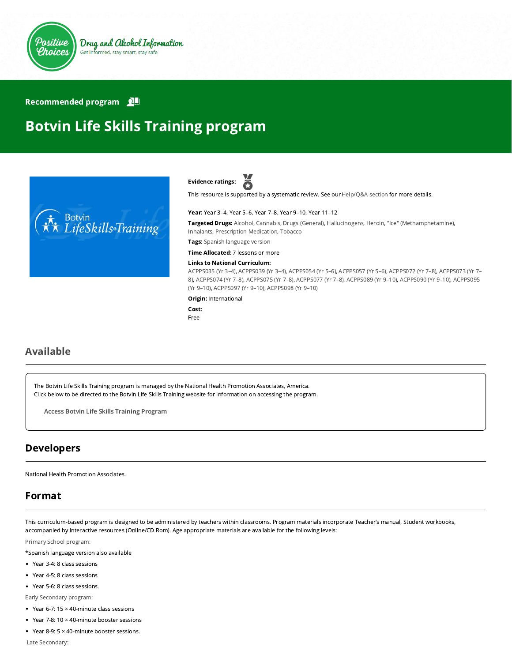

#### Recommended program

# Botvin Life Skills Training program



ă Evidence ratings:

This resource is supported by a systematic review. See our [Help/Q&A section](https://positivechoices.org.au/help/questions-and-answers/) for more details.

#### Year: Year 3–4, Year 5–6, Year 7–8, Year 9–10, Year 11–12

Targeted Drugs: Alcohol, Cannabis, Drugs (General), Hallucinogens, Heroin, "Ice" (Methamphetamine), Inhalants, Prescription Medication, Tobacco

Tags: Spanish language version

Time Allocated: 7 lessons or more

#### Links to National Curriculum:

[ACPPS035 \(Yr 3–4](http://www.australiancurriculum.edu.au/Curriculum/ContentDescription/ACPPS035)[\),](http://www.australiancurriculum.edu.au/Curriculum/ContentDescription/ACPPS073) [ACPPS039 \(Yr 3–4](http://www.australiancurriculum.edu.au/Curriculum/ContentDescription/ACPPS039)[\), A](http://www.australiancurriculum.edu.au/Curriculum/ContentDescription/ACPPS073)[CPPS054 \(Yr 5–6](http://www.australiancurriculum.edu.au/Curriculum/ContentDescription/ACPPS054)[\),](http://www.australiancurriculum.edu.au/Curriculum/ContentDescription/ACPPS073) [ACPPS057 \(Yr 5–6](http://www.australiancurriculum.edu.au/Curriculum/ContentDescription/ACPPS057)[\), A](http://www.australiancurriculum.edu.au/Curriculum/ContentDescription/ACPPS073)[CPPS072 \(Yr 7–8](http://www.australiancurriculum.edu.au/Curriculum/ContentDescription/ACPPS072)[\), ACPPS073 \(Yr 7–](http://www.australiancurriculum.edu.au/Curriculum/ContentDescription/ACPPS073) [8\), A](http://www.australiancurriculum.edu.au/Curriculum/ContentDescription/ACPPS095)[CPPS074 \(Yr 7–8](http://www.australiancurriculum.edu.au/Curriculum/ContentDescription/ACPPS074)[\), A](http://www.australiancurriculum.edu.au/Curriculum/ContentDescription/ACPPS095)[CPPS075 \(Yr 7–8](http://www.australiancurriculum.edu.au/Curriculum/ContentDescription/ACPPS075)[\), A](http://www.australiancurriculum.edu.au/Curriculum/ContentDescription/ACPPS095)[CPPS077 \(Yr 7–8](http://www.australiancurriculum.edu.au/Curriculum/ContentDescription/ACPPS077)[\), A](http://www.australiancurriculum.edu.au/Curriculum/ContentDescription/ACPPS095)[CPPS089 \(Yr 9–10](http://www.australiancurriculum.edu.au/Curriculum/ContentDescription/ACPPS089)[\), A](http://www.australiancurriculum.edu.au/Curriculum/ContentDescription/ACPPS095)[CPPS090 \(Yr 9–10](http://www.australiancurriculum.edu.au/Curriculum/ContentDescription/ACPPS090)[\), ACPPS095](http://www.australiancurriculum.edu.au/Curriculum/ContentDescription/ACPPS095) (Yr 9–10), [ACPPS097 \(Yr 9–10\),](http://www.australiancurriculum.edu.au/Curriculum/ContentDescription/ACPPS097) [ACPPS098 \(Yr 9–10\)](http://www.australiancurriculum.edu.au/Curriculum/ContentDescription/ACPPS098)

#### Origin: International

Cost: Free

# Available

The Botvin Life Skills Training program is managed by the National Health Promotion Associates, America. Click below to be directed to the Botvin Life Skills Training website for information on accessing the program.

Access Botvin Life Skills Training [Program](https://www.lifeskillstraining.com/)

# Developers

National Health Promotion Associates.

# Format

This curriculum-based program is designed to be administered by teachers within classrooms. Program materials incorporate Teacher's manual, Student workbooks, accompanied by interactive resources (Online/CD Rom). Age appropriate materials are available for the following levels:

[Primary School program:](https://www.lifeskillstraining.com/botvin-lifeskills-training-elementary-school-program/)

\*Spanish language version also available

- Year 3-4: 8 class sessions
- Year 4-5: 8 class sessions
- Year 5-6: 8 class sessions.

[Early Secondary program:](https://www.lifeskillstraining.com/botvin-lifeskills-training-middle-school-program/)

- $\bullet$  Year 6-7: 15  $\times$  40-minute class sessions
- Year 7-8: 10 × 40-minute booster sessions
- Year 8-9: 5 × 40-minute booster sessions.

 [Late Secondary:](https://www.lifeskillstraining.com/botvin-lifeskills-training-high-school-program/)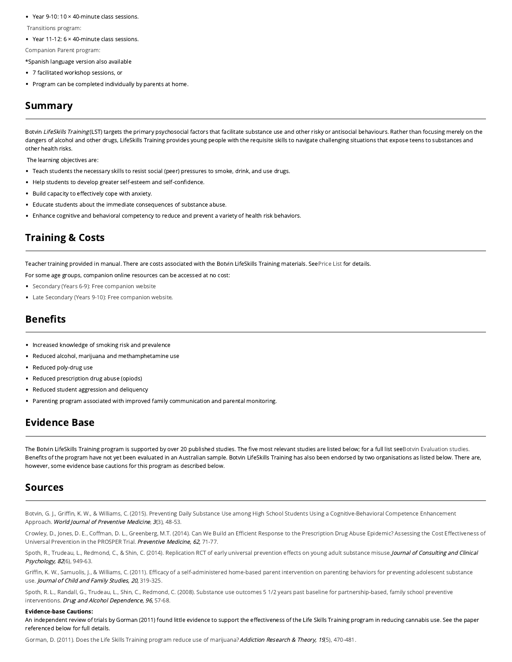- Year 9-10: 10  $\times$  40-minute class sessions.
- [Transitions program:](https://www.lifeskillstraining.com/botvin-lifeskills-training-transitions/)
- Year 11-12:  $6 \times 40$ -minute class sessions.
- [Companion Parent program:](https://www.lifeskillstraining.com/botvin-lifeskills-training-parent-program/)

\*Spanish language version also available

- 7 facilitated workshop sessions, or
- Program can be completed individually by parents at home.

### Summary

Botvin LifeSkills Training (LST) targets the primary psychosocial factors that facilitate substance use and other risky or antisocial behaviours. Rather than focusing merely on the dangers of alcohol and other drugs, LifeSkills Training provides young people with the requisite skills to navigate challenging situations that expose teens to substances and other health risks.

The learning objectives are:

- Teach students the necessary skills to resist social (peer) pressures to smoke, drink, and use drugs.
- Help students to develop greater self-esteem and self-confidence.
- Build capacity to effectively cope with anxiety.
- Educate students about the immediate consequences of substance abuse.
- Enhance cognitive and behavioral competency to reduce and prevent a variety of health risk behaviors.

# Training & Costs

Teacher training provided in manual. There are costs associated with the Botvin LifeSkills Training materials. See [Price List](https://www.lifeskillstraining.com/products/) for details.

- For some age groups, companion online resources can be accessed at no cost:
- [Secondary \(Years 6-9\): Free companion website](http://www.lifeskillstraining.com/msweb/)
- [Late Secondary \(Years 9-10\): Free companion website](http://www.lifeskillstraining.com/hsweb/).

#### **Benefits**

- Increased knowledge of smoking risk and prevalence
- Reduced alcohol, marijuana and methamphetamine use
- Reduced poly-drug use  $\bullet$
- Reduced prescription drug abuse (opiods)
- Reduced student aggression and deliquency
- Parenting program associated with improved family communication and parental monitoring.

# Evidence Base

The Botvin LifeSkills Training program is supported by over 20 published studies. The five most relevant studies are listed below; for a full list see [Botvin Evaluation studies.](https://www.lifeskillstraining.com/evaluation-studies/) Benefits of the program have not yet been evaluated in an Australian sample. Botvin LifeSkills Training has also been endorsed by two organisations as listed below. There are, however, some evidence base cautions for this program as described below.

#### Sources

Botvin, G. J., Griffin, K. W., & Williams, C. (2015). Preventing Daily Substance Use among High School Students Using a Cognitive-Behavioral Competence Enhancement Approach. World Journal of Preventive Medicine, 3(3), 48-53.

Crowley, D., Jones, D. E., Coffman, D. L., Greenberg, M.T. (2014). Can We Build an Efficient Response to the Prescription Drug Abuse Epidemic? Assessing the Cost Effectiveness of Universal Prevention in the PROSPER Trial. Preventive Medicine, 62, 71-77.

Spoth, R., Trudeau, L., Redmond, C., & Shin, C. (2014). Replication RCT of early universal prevention effects on young adult substance misuse. Journal of Consulting and Clinical Psychology, 82(6), 949-63.

Griffin, K. W., Samuolis, J., & Williams, C. (2011). Efficacy of a self-administered home-based parent intervention on parenting behaviors for preventing adolescent substance use. Journal of Child and Family Studies, 20, 319-325.

[Spoth, R. L., Randall, G., Trudeau, L., Shin, C., Redmond, C. \(2008\). Substance use outcomes 5 1/2 years past baseline for partnership-based, family school preventive](https://www.ncbi.nlm.nih.gov/pmc/articles/PMC2848484/) interventions. Drug and Alcohol Dependence, 96, 57-68.

#### Evidence-base Cautions:

An independent review of trials by Gorman (2011) found little evidence to support the effectiveness of the Life Skills Training program in reducing cannabis use. See the paper referenced below for full details.

[Gorman, D. \(2011\). Does the Life Skills Training program reduce use of marijuana?](http://informahealthcare.com/doi/abs/10.3109/16066359.2011.557164) Addiction Research & Theory, 19(5), 470-481.